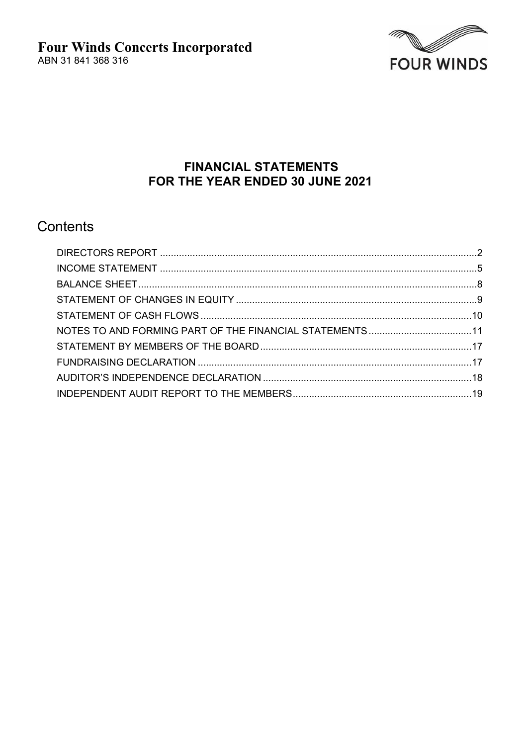

# **FINANCIAL STATEMENTS** FOR THE YEAR ENDED 30 JUNE 2021

# Contents

| NOTES TO AND FORMING PART OF THE FINANCIAL STATEMENTS11 |  |
|---------------------------------------------------------|--|
|                                                         |  |
|                                                         |  |
|                                                         |  |
|                                                         |  |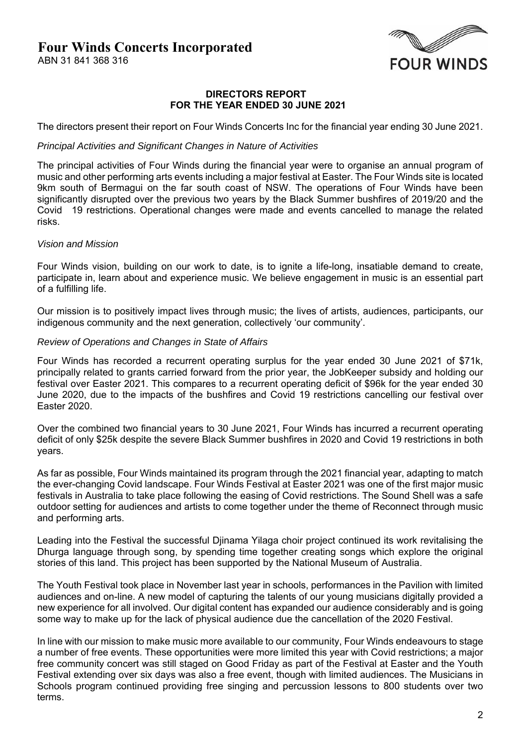ABN 31 841 368 316



#### **DIRECTORS REPORT FOR THE YEAR ENDED 30 JUNE 2021**

The directors present their report on Four Winds Concerts Inc for the financial year ending 30 June 2021.

#### *Principal Activities and Significant Changes in Nature of Activities*

The principal activities of Four Winds during the financial year were to organise an annual program of music and other performing arts events including a major festival at Easter. The Four Winds site is located 9km south of Bermagui on the far south coast of NSW. The operations of Four Winds have been significantly disrupted over the previous two years by the Black Summer bushfires of 2019/20 and the Covid 19 restrictions. Operational changes were made and events cancelled to manage the related risks.

#### *Vision and Mission*

Four Winds vision, building on our work to date, is to ignite a life-long, insatiable demand to create, participate in, learn about and experience music. We believe engagement in music is an essential part of a fulfilling life.

Our mission is to positively impact lives through music; the lives of artists, audiences, participants, our indigenous community and the next generation, collectively 'our community'.

#### *Review of Operations and Changes in State of Affairs*

Four Winds has recorded a recurrent operating surplus for the year ended 30 June 2021 of \$71k, principally related to grants carried forward from the prior year, the JobKeeper subsidy and holding our festival over Easter 2021. This compares to a recurrent operating deficit of \$96k for the year ended 30 June 2020, due to the impacts of the bushfires and Covid 19 restrictions cancelling our festival over Easter 2020.

Over the combined two financial years to 30 June 2021, Four Winds has incurred a recurrent operating deficit of only \$25k despite the severe Black Summer bushfires in 2020 and Covid 19 restrictions in both years.

As far as possible, Four Winds maintained its program through the 2021 financial year, adapting to match the ever-changing Covid landscape. Four Winds Festival at Easter 2021 was one of the first major music festivals in Australia to take place following the easing of Covid restrictions. The Sound Shell was a safe outdoor setting for audiences and artists to come together under the theme of Reconnect through music and performing arts.

Leading into the Festival the successful Djinama Yilaga choir project continued its work revitalising the Dhurga language through song, by spending time together creating songs which explore the original stories of this land. This project has been supported by the National Museum of Australia.

The Youth Festival took place in November last year in schools, performances in the Pavilion with limited audiences and on-line. A new model of capturing the talents of our young musicians digitally provided a new experience for all involved. Our digital content has expanded our audience considerably and is going some way to make up for the lack of physical audience due the cancellation of the 2020 Festival.

In line with our mission to make music more available to our community, Four Winds endeavours to stage a number of free events. These opportunities were more limited this year with Covid restrictions; a major free community concert was still staged on Good Friday as part of the Festival at Easter and the Youth Festival extending over six days was also a free event, though with limited audiences. The Musicians in Schools program continued providing free singing and percussion lessons to 800 students over two terms.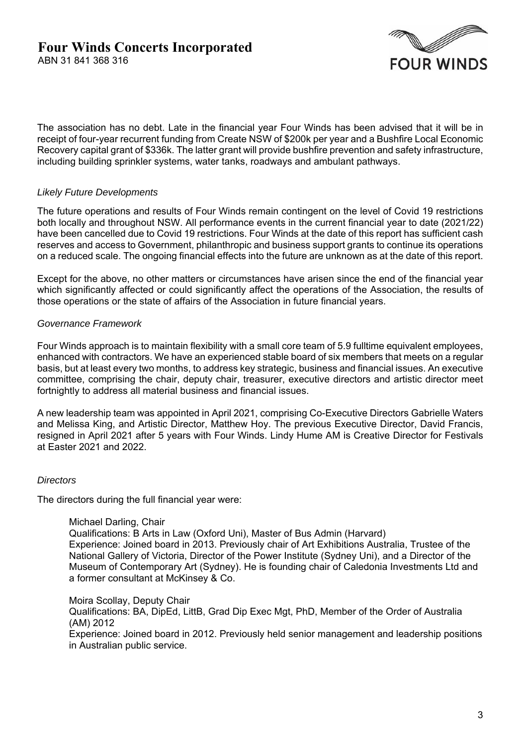

The association has no debt. Late in the financial year Four Winds has been advised that it will be in receipt of four-year recurrent funding from Create NSW of \$200k per year and a Bushfire Local Economic Recovery capital grant of \$336k. The latter grant will provide bushfire prevention and safety infrastructure, including building sprinkler systems, water tanks, roadways and ambulant pathways.

### *Likely Future Developments*

The future operations and results of Four Winds remain contingent on the level of Covid 19 restrictions both locally and throughout NSW. All performance events in the current financial year to date (2021/22) have been cancelled due to Covid 19 restrictions. Four Winds at the date of this report has sufficient cash reserves and access to Government, philanthropic and business support grants to continue its operations on a reduced scale. The ongoing financial effects into the future are unknown as at the date of this report.

Except for the above, no other matters or circumstances have arisen since the end of the financial year which significantly affected or could significantly affect the operations of the Association, the results of those operations or the state of affairs of the Association in future financial years.

### *Governance Framework*

Four Winds approach is to maintain flexibility with a small core team of 5.9 fulltime equivalent employees, enhanced with contractors. We have an experienced stable board of six members that meets on a regular basis, but at least every two months, to address key strategic, business and financial issues. An executive committee, comprising the chair, deputy chair, treasurer, executive directors and artistic director meet fortnightly to address all material business and financial issues.

A new leadership team was appointed in April 2021, comprising Co-Executive Directors Gabrielle Waters and Melissa King, and Artistic Director, Matthew Hoy. The previous Executive Director, David Francis, resigned in April 2021 after 5 years with Four Winds. Lindy Hume AM is Creative Director for Festivals at Easter 2021 and 2022.

### *Directors*

The directors during the full financial year were:

#### Michael Darling, Chair

Qualifications: B Arts in Law (Oxford Uni), Master of Bus Admin (Harvard) Experience: Joined board in 2013. Previously chair of Art Exhibitions Australia, Trustee of the National Gallery of Victoria, Director of the Power Institute (Sydney Uni), and a Director of the Museum of Contemporary Art (Sydney). He is founding chair of Caledonia Investments Ltd and a former consultant at McKinsey & Co.

Moira Scollay, Deputy Chair

Qualifications: BA, DipEd, LittB, Grad Dip Exec Mgt, PhD, Member of the Order of Australia (AM) 2012

Experience: Joined board in 2012. Previously held senior management and leadership positions in Australian public service.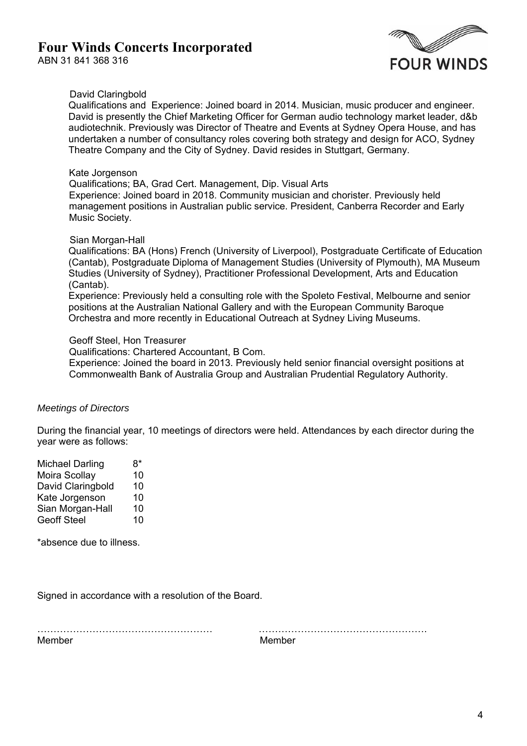

### David Claringbold

Qualifications and Experience: Joined board in 2014. Musician, music producer and engineer. David is presently the Chief Marketing Officer for German audio technology market leader, d&b audiotechnik. Previously was Director of Theatre and Events at Sydney Opera House, and has undertaken a number of consultancy roles covering both strategy and design for ACO, Sydney Theatre Company and the City of Sydney. David resides in Stuttgart, Germany.

#### Kate Jorgenson

Qualifications; BA, Grad Cert. Management, Dip. Visual Arts Experience: Joined board in 2018. Community musician and chorister. Previously held management positions in Australian public service. President, Canberra Recorder and Early Music Society.

### Sian Morgan-Hall

Qualifications: BA (Hons) French (University of Liverpool), Postgraduate Certificate of Education (Cantab), Postgraduate Diploma of Management Studies (University of Plymouth), MA Museum Studies (University of Sydney), Practitioner Professional Development, Arts and Education (Cantab).

Experience: Previously held a consulting role with the Spoleto Festival, Melbourne and senior positions at the Australian National Gallery and with the European Community Baroque Orchestra and more recently in Educational Outreach at Sydney Living Museums.

#### Geoff Steel, Hon Treasurer

Qualifications: Chartered Accountant, B Com.

Experience: Joined the board in 2013. Previously held senior financial oversight positions at Commonwealth Bank of Australia Group and Australian Prudential Regulatory Authority.

### *Meetings of Directors*

During the financial year, 10 meetings of directors were held. Attendances by each director during the year were as follows:

| <b>Michael Darling</b> | 8* |
|------------------------|----|
| Moira Scollay          | 10 |
| David Claringbold      | 10 |
| Kate Jorgenson         | 10 |
| Sian Morgan-Hall       | 10 |
| <b>Geoff Steel</b>     | 10 |

\*absence due to illness.

Signed in accordance with a resolution of the Board.

……………………………………………… …………………………………………….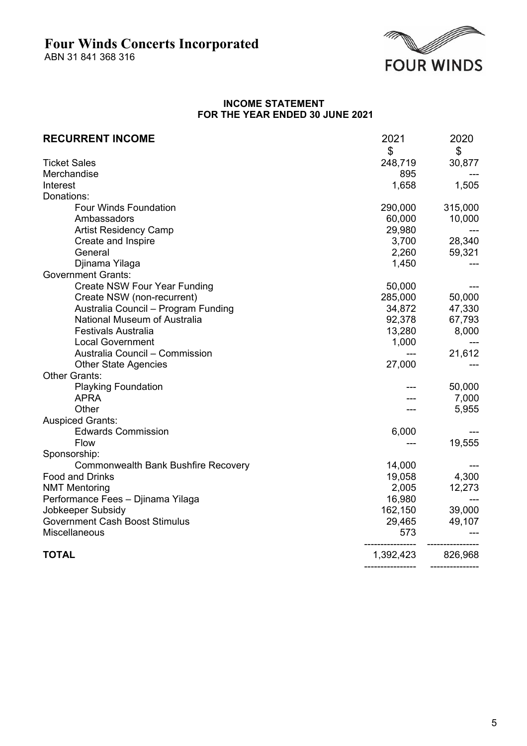ABN 31 841 368 316



## **INCOME STATEMENT FOR THE YEAR ENDED 30 JUNE 2021**

| <b>RECURRENT INCOME</b>               | 2021      | 2020    |
|---------------------------------------|-----------|---------|
|                                       | \$        | \$      |
| <b>Ticket Sales</b>                   | 248,719   | 30,877  |
| Merchandise                           | 895       |         |
| Interest                              | 1,658     | 1,505   |
| Donations:                            |           |         |
| Four Winds Foundation                 | 290,000   | 315,000 |
| Ambassadors                           | 60,000    | 10,000  |
| <b>Artist Residency Camp</b>          | 29,980    |         |
| Create and Inspire                    | 3,700     | 28,340  |
| General                               | 2,260     | 59,321  |
| Djinama Yilaga                        | 1,450     |         |
| <b>Government Grants:</b>             |           |         |
| <b>Create NSW Four Year Funding</b>   | 50,000    |         |
| Create NSW (non-recurrent)            | 285,000   | 50,000  |
| Australia Council - Program Funding   | 34,872    | 47,330  |
| National Museum of Australia          | 92,378    | 67,793  |
| <b>Festivals Australia</b>            | 13,280    | 8,000   |
| <b>Local Government</b>               | 1,000     |         |
| Australia Council - Commission        |           | 21,612  |
| <b>Other State Agencies</b>           | 27,000    |         |
| <b>Other Grants:</b>                  |           |         |
| <b>Playking Foundation</b>            |           | 50,000  |
| <b>APRA</b>                           |           | 7,000   |
| Other                                 |           | 5,955   |
| <b>Auspiced Grants:</b>               |           |         |
| <b>Edwards Commission</b>             | 6,000     |         |
| Flow                                  |           | 19,555  |
| Sponsorship:                          |           |         |
| Commonwealth Bank Bushfire Recovery   | 14,000    |         |
| <b>Food and Drinks</b>                | 19,058    | 4,300   |
| <b>NMT Mentoring</b>                  | 2,005     | 12,273  |
| Performance Fees - Djinama Yilaga     | 16,980    |         |
| Jobkeeper Subsidy                     | 162,150   | 39,000  |
| <b>Government Cash Boost Stimulus</b> | 29,465    | 49,107  |
| Miscellaneous                         | 573       |         |
| <b>TOTAL</b>                          | 1,392,423 | 826,968 |
|                                       |           |         |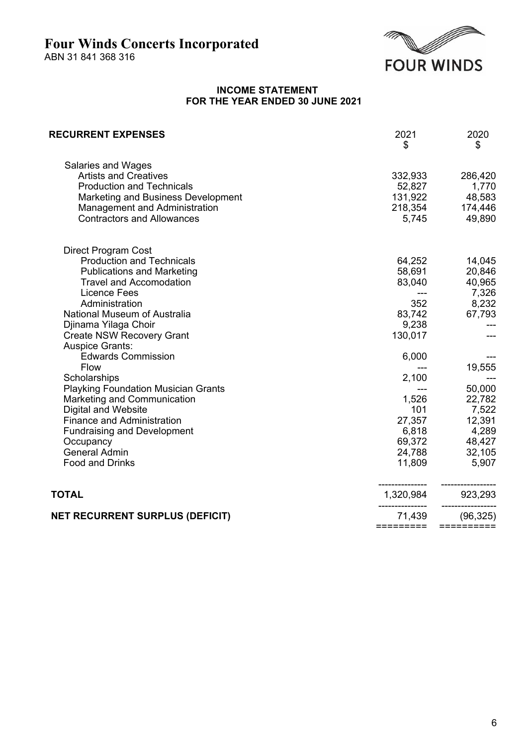ABN 31 841 368 316



### **INCOME STATEMENT FOR THE YEAR ENDED 30 JUNE 2021**

| <b>RECURRENT EXPENSES</b>                                  | 2021<br>\$     | 2020<br>\$ |
|------------------------------------------------------------|----------------|------------|
| Salaries and Wages<br><b>Artists and Creatives</b>         | 332,933        | 286,420    |
| <b>Production and Technicals</b>                           | 52,827         | 1,770      |
| Marketing and Business Development                         | 131,922        | 48,583     |
| Management and Administration                              | 218,354        | 174,446    |
| <b>Contractors and Allowances</b>                          | 5,745          | 49,890     |
| Direct Program Cost                                        |                |            |
| <b>Production and Technicals</b>                           | 64,252         | 14,045     |
| <b>Publications and Marketing</b>                          | 58,691         | 20,846     |
| <b>Travel and Accomodation</b>                             | 83,040         | 40,965     |
| <b>Licence Fees</b>                                        |                | 7,326      |
| Administration                                             | 352            | 8,232      |
| National Museum of Australia                               | 83,742         | 67,793     |
| Djinama Yilaga Choir                                       | 9,238          |            |
| <b>Create NSW Recovery Grant</b>                           | 130,017        |            |
| <b>Auspice Grants:</b>                                     |                |            |
| <b>Edwards Commission</b>                                  | 6,000          |            |
| Flow                                                       |                | 19,555     |
| Scholarships<br><b>Playking Foundation Musician Grants</b> | 2,100<br>$---$ | 50,000     |
| Marketing and Communication                                | 1,526          | 22,782     |
| <b>Digital and Website</b>                                 | 101            | 7,522      |
| <b>Finance and Administration</b>                          | 27,357         | 12,391     |
| <b>Fundraising and Development</b>                         | 6,818          | 4,289      |
| Occupancy                                                  | 69,372         | 48,427     |
| <b>General Admin</b>                                       | 24,788         | 32,105     |
| Food and Drinks                                            | 11,809         | 5,907      |
| <b>TOTAL</b>                                               | 1,320,984      | 923,293    |
| <b>NET RECURRENT SURPLUS (DEFICIT)</b>                     | 71,439         | (96, 325)  |
|                                                            | =========      | ========== |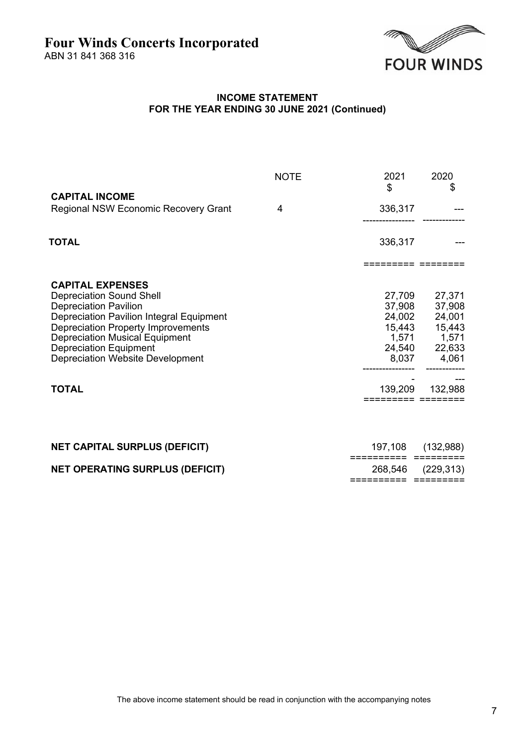ABN 31 841 368 316



## **INCOME STATEMENT FOR THE YEAR ENDING 30 JUNE 2021 (Continued)**

|                                                                                                                                                                                                                                                                                                          | <b>NOTE</b> | 2021<br>\$                                                       | 2020<br>\$                                                       |
|----------------------------------------------------------------------------------------------------------------------------------------------------------------------------------------------------------------------------------------------------------------------------------------------------------|-------------|------------------------------------------------------------------|------------------------------------------------------------------|
| <b>CAPITAL INCOME</b><br>Regional NSW Economic Recovery Grant                                                                                                                                                                                                                                            | 4           | 336,317                                                          |                                                                  |
| TOTAL                                                                                                                                                                                                                                                                                                    |             | 336,317                                                          |                                                                  |
|                                                                                                                                                                                                                                                                                                          |             |                                                                  |                                                                  |
| <b>CAPITAL EXPENSES</b><br><b>Depreciation Sound Shell</b><br><b>Depreciation Pavilion</b><br>Depreciation Pavilion Integral Equipment<br><b>Depreciation Property Improvements</b><br><b>Depreciation Musical Equipment</b><br><b>Depreciation Equipment</b><br><b>Depreciation Website Development</b> |             | 27,709<br>37,908<br>24,002<br>15,443<br>1,571<br>24,540<br>8,037 | 27,371<br>37,908<br>24,001<br>15,443<br>1,571<br>22,633<br>4,061 |
| <b>TOTAL</b>                                                                                                                                                                                                                                                                                             |             | 139,209<br>====== =====                                          | 132,988                                                          |

| <b>NET CAPITAL SURPLUS (DEFICIT)</b>   | 197,108 (132,988) |
|----------------------------------------|-------------------|
|                                        |                   |
| <b>NET OPERATING SURPLUS (DEFICIT)</b> | 268,546 (229,313) |
|                                        |                   |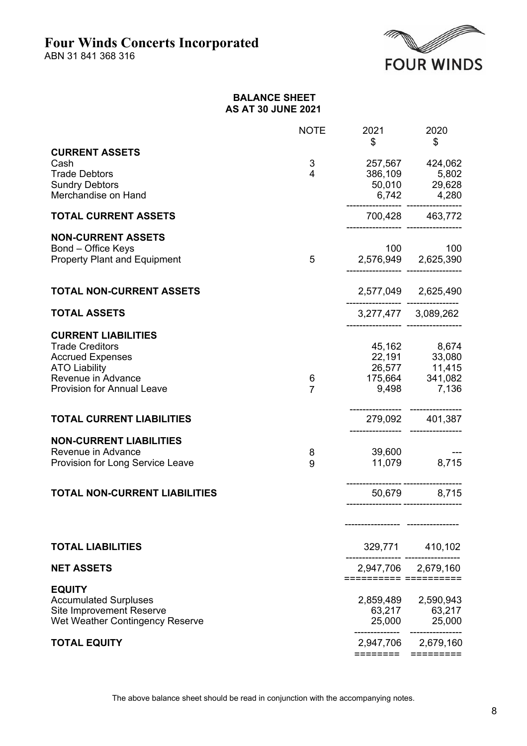ABN 31 841 368 316



### **BALANCE SHEET AS AT 30 JUNE 2021**

|                                                                                                                                                                    | <b>NOTE</b>         | 2021<br>\$         | 2020<br>\$                                                                       |
|--------------------------------------------------------------------------------------------------------------------------------------------------------------------|---------------------|--------------------|----------------------------------------------------------------------------------|
| <b>CURRENT ASSETS</b><br>Cash<br><b>Trade Debtors</b><br><b>Sundry Debtors</b><br>Merchandise on Hand                                                              | 3<br>4              |                    | 257,567 424,062<br>386,109 5,802<br>50,010 29,628<br>$6,742$ $4,280$             |
| <b>TOTAL CURRENT ASSETS</b>                                                                                                                                        |                     |                    | 700,428 463,772                                                                  |
| <b>NON-CURRENT ASSETS</b><br>Bond - Office Keys<br><b>Property Plant and Equipment</b>                                                                             | 5 <sub>5</sub>      |                    | 100<br>100<br>2,576,949 2,625,390                                                |
| <b>TOTAL NON-CURRENT ASSETS</b>                                                                                                                                    |                     |                    | 2,577,049 2,625,490                                                              |
| <b>TOTAL ASSETS</b>                                                                                                                                                |                     |                    | 3,277,477 3,089,262                                                              |
| <b>CURRENT LIABILITIES</b><br><b>Trade Creditors</b><br><b>Accrued Expenses</b><br><b>ATO Liability</b><br>Revenue in Advance<br><b>Provision for Annual Leave</b> | 6<br>$\overline{7}$ |                    | 45,162 8,674<br>22,191 33,080<br>26,577 11,415<br>175,664 341,082<br>9,498 7,136 |
| <b>TOTAL CURRENT LIABILITIES</b>                                                                                                                                   |                     |                    | 279,092 401,387                                                                  |
| <b>NON-CURRENT LIABILITIES</b><br>Revenue in Advance<br>Provision for Long Service Leave<br><b>TOTAL NON-CURRENT LIABILITIES</b>                                   | 8<br>9              | 39,600             | 11,079 8,715<br>50,679 8,715                                                     |
|                                                                                                                                                                    |                     |                    |                                                                                  |
|                                                                                                                                                                    |                     |                    |                                                                                  |
| <b>TOTAL LIABILITIES</b>                                                                                                                                           |                     |                    | 329,771 410,102                                                                  |
| <b>NET ASSETS</b>                                                                                                                                                  |                     | ========== ======= | 2,947,706 2,679,160                                                              |
| <b>EQUITY</b><br><b>Accumulated Surpluses</b><br>Site Improvement Reserve<br>Wet Weather Contingency Reserve                                                       |                     | 2,859,489          | 2,590,943<br>$63,217$<br>$25,000$<br>$25,000$<br>$25,000$                        |
| <b>TOTAL EQUITY</b>                                                                                                                                                |                     | ========           | 2,947,706 2,679,160<br>$=$ = = = = = = = =                                       |

The above balance sheet should be read in conjunction with the accompanying notes.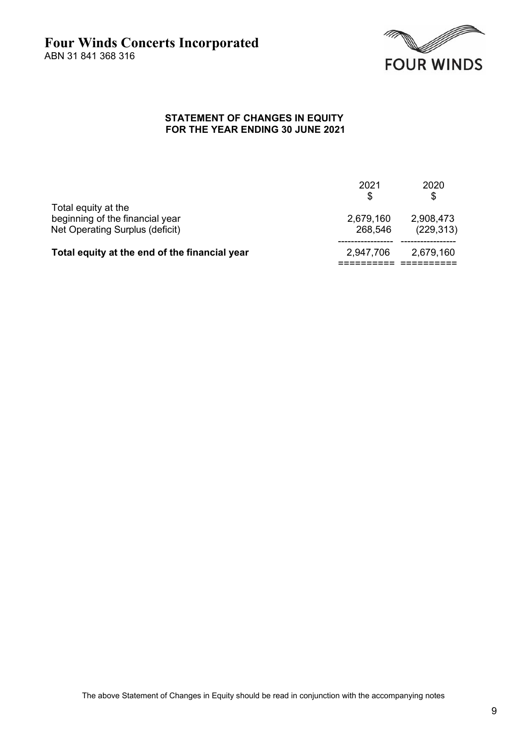

### **STATEMENT OF CHANGES IN EQUITY FOR THE YEAR ENDING 30 JUNE 2021**

| Total equity at the<br>beginning of the financial year | 2021<br>S<br>2,679,160 | 2020<br>2,908,473 |
|--------------------------------------------------------|------------------------|-------------------|
| Net Operating Surplus (deficit)                        | 268,546                | (229, 313)        |
| Total equity at the end of the financial year          | 2,947,706              | 2,679,160         |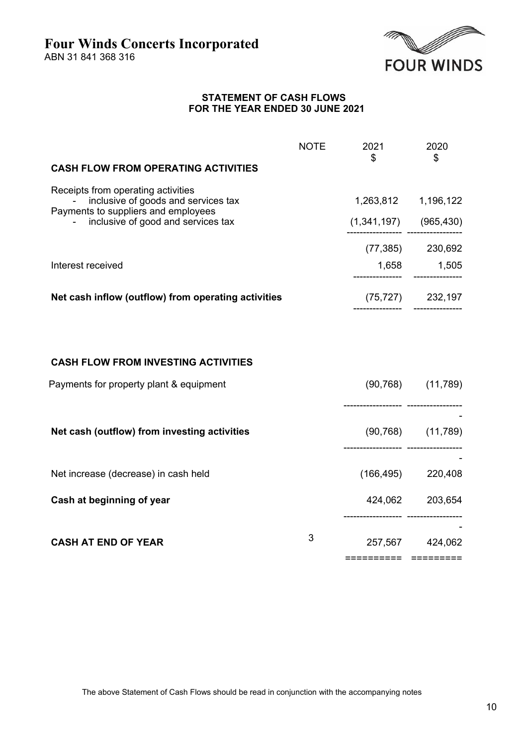

------------------ -----------------

------------------ -----------------

========== =========

-

-

#### **STATEMENT OF CASH FLOWS FOR THE YEAR ENDED 30 JUNE 2021**

|                                                                                                                  | <b>NOTE</b> | 2021<br>\$                | 2020<br>\$              |
|------------------------------------------------------------------------------------------------------------------|-------------|---------------------------|-------------------------|
| <b>CASH FLOW FROM OPERATING ACTIVITIES</b>                                                                       |             |                           |                         |
| Receipts from operating activities<br>inclusive of goods and services tax<br>Payments to suppliers and employees |             | 1,263,812 1,196,122       |                         |
| inclusive of good and services tax                                                                               |             | $(1,341,197)$ $(965,430)$ |                         |
|                                                                                                                  |             |                           | $(77,385)$ 230,692      |
| Interest received                                                                                                |             | 1,658                     | 1,505                   |
| Net cash inflow (outflow) from operating activities                                                              |             |                           | $(75, 727)$ 232,197     |
| <b>CASH FLOW FROM INVESTING ACTIVITIES</b>                                                                       |             |                           |                         |
| Payments for property plant & equipment                                                                          |             |                           | $(90, 768)$ $(11, 789)$ |
| Net cash (outflow) from investing activities                                                                     |             |                           | $(90, 768)$ $(11, 789)$ |

Net increase (decrease) in cash held (166,495) 220,408

**Cash at beginning of year** 424,062 203,654

**CASH AT END OF YEAR** 3 257,567 424,062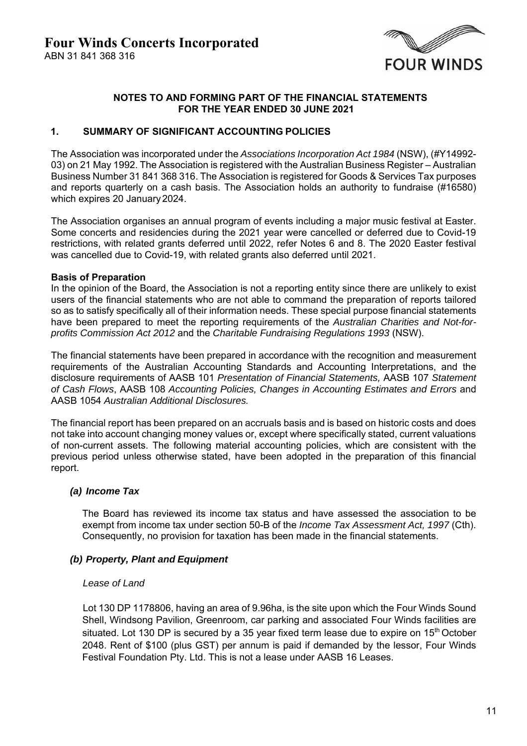

### **NOTES TO AND FORMING PART OF THE FINANCIAL STATEMENTS FOR THE YEAR ENDED 30 JUNE 2021**

### **1. SUMMARY OF SIGNIFICANT ACCOUNTING POLICIES**

The Association was incorporated under the *Associations Incorporation Act 1984* (NSW), (#Y14992- 03) on 21 May 1992. The Association is registered with the Australian Business Register – Australian Business Number 31 841 368 316. The Association is registered for Goods & Services Tax purposes and reports quarterly on a cash basis. The Association holds an authority to fundraise (#16580) which expires 20 January 2024.

The Association organises an annual program of events including a major music festival at Easter. Some concerts and residencies during the 2021 year were cancelled or deferred due to Covid-19 restrictions, with related grants deferred until 2022, refer Notes 6 and 8. The 2020 Easter festival was cancelled due to Covid-19, with related grants also deferred until 2021.

### **Basis of Preparation**

In the opinion of the Board, the Association is not a reporting entity since there are unlikely to exist users of the financial statements who are not able to command the preparation of reports tailored so as to satisfy specifically all of their information needs. These special purpose financial statements have been prepared to meet the reporting requirements of the *Australian Charities and Not-forprofits Commission Act 2012* and the *Charitable Fundraising Regulations 1993* (NSW).

The financial statements have been prepared in accordance with the recognition and measurement requirements of the Australian Accounting Standards and Accounting Interpretations, and the disclosure requirements of AASB 101 *Presentation of Financial Statements,* AASB 107 *Statement of Cash Flows*, AASB 108 *Accounting Policies, Changes in Accounting Estimates and Errors* and AASB 1054 *Australian Additional Disclosures.* 

The financial report has been prepared on an accruals basis and is based on historic costs and does not take into account changing money values or, except where specifically stated, current valuations of non-current assets. The following material accounting policies, which are consistent with the previous period unless otherwise stated, have been adopted in the preparation of this financial report.

### *(a) Income Tax*

The Board has reviewed its income tax status and have assessed the association to be exempt from income tax under section 50-B of the *Income Tax Assessment Act, 1997* (Cth). Consequently, no provision for taxation has been made in the financial statements.

### *(b) Property, Plant and Equipment*

### *Lease of Land*

Lot 130 DP 1178806, having an area of 9.96ha, is the site upon which the Four Winds Sound Shell, Windsong Pavilion, Greenroom, car parking and associated Four Winds facilities are situated. Lot 130 DP is secured by a 35 year fixed term lease due to expire on  $15<sup>th</sup>$  October 2048. Rent of \$100 (plus GST) per annum is paid if demanded by the lessor, Four Winds Festival Foundation Pty. Ltd. This is not a lease under AASB 16 Leases.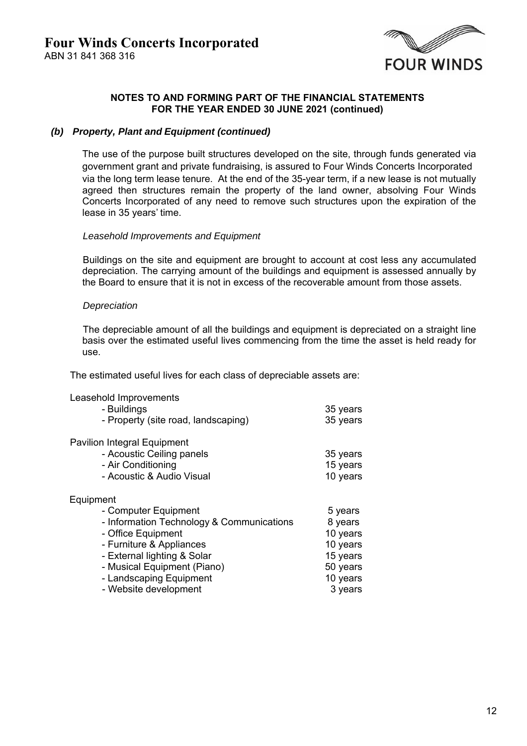

#### *(b) Property, Plant and Equipment (continued)*

The use of the purpose built structures developed on the site, through funds generated via government grant and private fundraising, is assured to Four Winds Concerts Incorporated via the long term lease tenure. At the end of the 35-year term, if a new lease is not mutually agreed then structures remain the property of the land owner, absolving Four Winds Concerts Incorporated of any need to remove such structures upon the expiration of the lease in 35 years' time.

#### *Leasehold Improvements and Equipment*

Buildings on the site and equipment are brought to account at cost less any accumulated depreciation. The carrying amount of the buildings and equipment is assessed annually by the Board to ensure that it is not in excess of the recoverable amount from those assets.

#### *Depreciation*

The depreciable amount of all the buildings and equipment is depreciated on a straight line basis over the estimated useful lives commencing from the time the asset is held ready for use.

The estimated useful lives for each class of depreciable assets are:

Leasehold Improvements

| - Buildings<br>- Property (site road, landscaping)                                                                                                                                                                                                 | 35 years<br>35 years                                                                      |
|----------------------------------------------------------------------------------------------------------------------------------------------------------------------------------------------------------------------------------------------------|-------------------------------------------------------------------------------------------|
| <b>Pavilion Integral Equipment</b><br>- Acoustic Ceiling panels<br>- Air Conditioning<br>- Acoustic & Audio Visual                                                                                                                                 | 35 years<br>15 years<br>10 years                                                          |
| Equipment<br>- Computer Equipment<br>- Information Technology & Communications<br>- Office Equipment<br>- Furniture & Appliances<br>- External lighting & Solar<br>- Musical Equipment (Piano)<br>- Landscaping Equipment<br>- Website development | 5 years<br>8 years<br>10 years<br>10 years<br>15 years<br>50 years<br>10 years<br>3 years |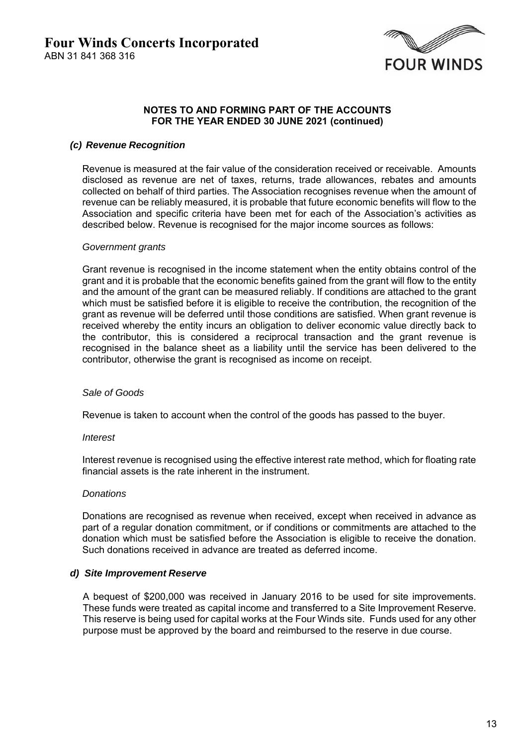

### *(c) Revenue Recognition*

Revenue is measured at the fair value of the consideration received or receivable. Amounts disclosed as revenue are net of taxes, returns, trade allowances, rebates and amounts collected on behalf of third parties. The Association recognises revenue when the amount of revenue can be reliably measured, it is probable that future economic benefits will flow to the Association and specific criteria have been met for each of the Association's activities as described below. Revenue is recognised for the major income sources as follows:

### *Government grants*

Grant revenue is recognised in the income statement when the entity obtains control of the grant and it is probable that the economic benefits gained from the grant will flow to the entity and the amount of the grant can be measured reliably. If conditions are attached to the grant which must be satisfied before it is eligible to receive the contribution, the recognition of the grant as revenue will be deferred until those conditions are satisfied. When grant revenue is received whereby the entity incurs an obligation to deliver economic value directly back to the contributor, this is considered a reciprocal transaction and the grant revenue is recognised in the balance sheet as a liability until the service has been delivered to the contributor, otherwise the grant is recognised as income on receipt.

### *Sale of Goods*

Revenue is taken to account when the control of the goods has passed to the buyer.

### *Interest*

Interest revenue is recognised using the effective interest rate method, which for floating rate financial assets is the rate inherent in the instrument.

### *Donations*

Donations are recognised as revenue when received, except when received in advance as part of a regular donation commitment, or if conditions or commitments are attached to the donation which must be satisfied before the Association is eligible to receive the donation. Such donations received in advance are treated as deferred income.

### *d) Site Improvement Reserve*

A bequest of \$200,000 was received in January 2016 to be used for site improvements. These funds were treated as capital income and transferred to a Site Improvement Reserve. This reserve is being used for capital works at the Four Winds site. Funds used for any other purpose must be approved by the board and reimbursed to the reserve in due course.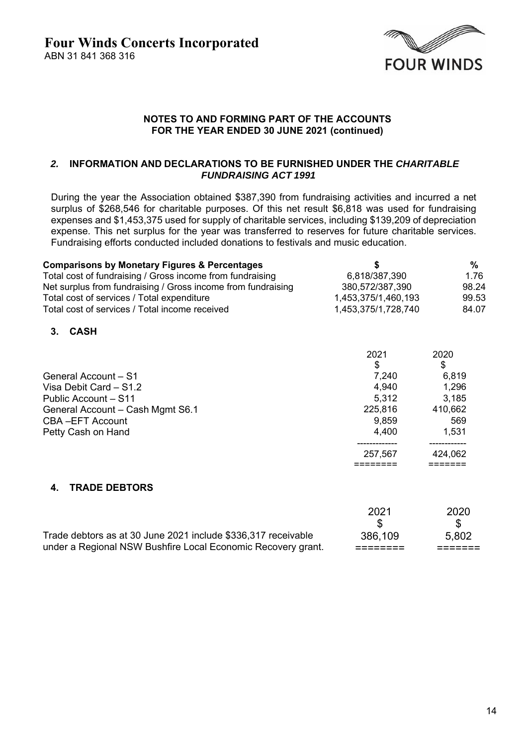

### *2.* **INFORMATION AND DECLARATIONS TO BE FURNISHED UNDER THE** *CHARITABLE FUNDRAISING ACT 1991*

During the year the Association obtained \$387,390 from fundraising activities and incurred a net surplus of \$268,546 for charitable purposes. Of this net result \$6,818 was used for fundraising expenses and \$1,453,375 used for supply of charitable services, including \$139,209 of depreciation expense. This net surplus for the year was transferred to reserves for future charitable services. Fundraising efforts conducted included donations to festivals and music education.

| <b>Comparisons by Monetary Figures &amp; Percentages</b>     | S                   | %     |
|--------------------------------------------------------------|---------------------|-------|
| Total cost of fundraising / Gross income from fundraising    | 6,818/387,390       | 1.76  |
| Net surplus from fundraising / Gross income from fundraising | 380,572/387,390     | 98.24 |
| Total cost of services / Total expenditure                   | 1,453,375/1,460,193 | 99.53 |
| Total cost of services / Total income received               | 1,453,375/1,728,740 | 84.07 |

## **3. CASH**

|                                  | 2021    | 2020    |
|----------------------------------|---------|---------|
|                                  | \$      | \$      |
| General Account - S1             | 7.240   | 6,819   |
| Visa Debit Card - S1.2           | 4,940   | 1,296   |
| Public Account - S11             | 5,312   | 3,185   |
| General Account - Cash Mgmt S6.1 | 225,816 | 410,662 |
| <b>CBA-EFT Account</b>           | 9,859   | 569     |
| Petty Cash on Hand               | 4,400   | 1,531   |
|                                  | 257,567 | 424,062 |
|                                  |         |         |

# **4. TRADE DEBTORS**

|                                                               | 2021    | 2020  |
|---------------------------------------------------------------|---------|-------|
|                                                               |         |       |
| Trade debtors as at 30 June 2021 include \$336,317 receivable | 386,109 | 5.802 |
| under a Regional NSW Bushfire Local Economic Recovery grant.  |         |       |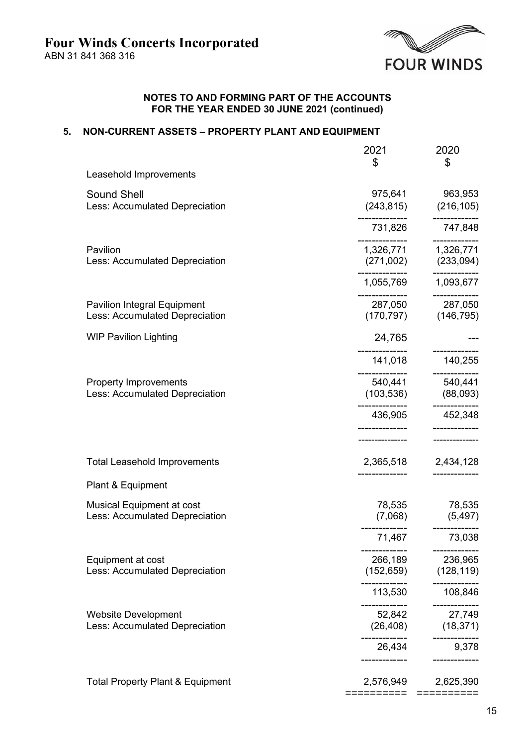

### **5. NON-CURRENT ASSETS – PROPERTY PLANT AND EQUIPMENT**

|                                             | 2021                    | 2020                                 |
|---------------------------------------------|-------------------------|--------------------------------------|
| Leasehold Improvements                      | \$                      | \$                                   |
| Sound Shell                                 | 975,641                 | 963,953                              |
| Less: Accumulated Depreciation              |                         | $(243,815)$ $(216,105)$              |
|                                             | 731,826                 | 747,848                              |
| Pavilion                                    |                         |                                      |
| Less: Accumulated Depreciation              |                         | $(271,002)$ $(233,094)$              |
|                                             | ------------            | -------------<br>1,055,769 1,093,677 |
| <b>Pavilion Integral Equipment</b>          | -------------           | ------------<br>287,050 287,050      |
| Less: Accumulated Depreciation              |                         | $(170, 797)$ $(146, 795)$            |
| <b>WIP Pavilion Lighting</b>                | 24,765                  |                                      |
|                                             | 141,018                 | 140,255                              |
| <b>Property Improvements</b>                |                         |                                      |
| Less: Accumulated Depreciation              |                         | $(103,536)$ $(88,093)$               |
|                                             | 436,905                 | 452,348                              |
|                                             |                         |                                      |
| <b>Total Leasehold Improvements</b>         |                         | 2,365,518 2,434,128                  |
| Plant & Equipment                           |                         |                                      |
| <b>Musical Equipment at cost</b>            | 78,535                  | 78,535                               |
| Less: Accumulated Depreciation              | (7,068)                 | (5, 497)                             |
|                                             | 71,467                  | 73,038                               |
| Equipment at cost                           | 266,189                 | 236,965                              |
| Less: Accumulated Depreciation              |                         | $(152, 659)$ $(128, 119)$            |
|                                             | -----------<br>113,530  | -----------<br>108,846               |
| <b>Website Development</b>                  | 52,842                  | ----------<br>27,749                 |
| Less: Accumulated Depreciation              | (26, 408)               | (18, 371)                            |
|                                             | 26,434<br>------------- | 9,378<br>------------                |
| <b>Total Property Plant &amp; Equipment</b> | 2,576,949               | 2,625,390                            |
|                                             | ==========              | ==========                           |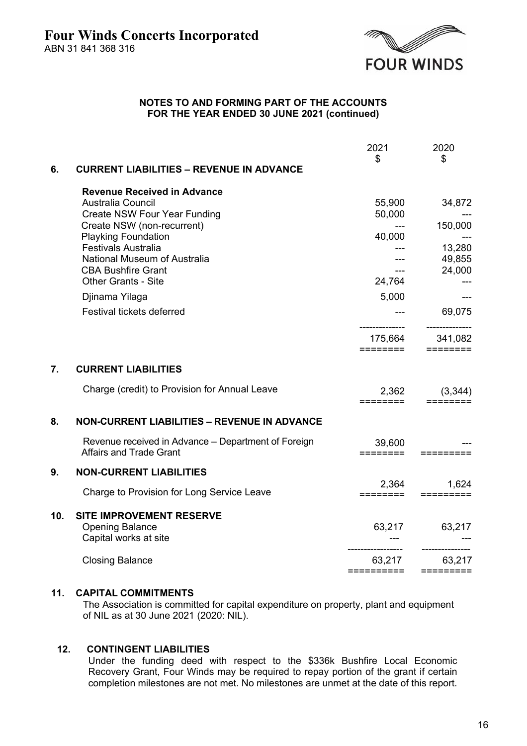

|                  |                                                                                       | 2021                | 2020                                   |
|------------------|---------------------------------------------------------------------------------------|---------------------|----------------------------------------|
| 6.               | <b>CURRENT LIABILITIES - REVENUE IN ADVANCE</b>                                       | $\mathfrak{S}$      | \$                                     |
|                  | <b>Revenue Received in Advance</b>                                                    |                     |                                        |
|                  | Australia Council                                                                     | 55,900              | 34,872                                 |
|                  | <b>Create NSW Four Year Funding</b>                                                   | 50,000              |                                        |
|                  | Create NSW (non-recurrent)                                                            | $---$               | 150,000                                |
|                  | <b>Playking Foundation</b><br><b>Festivals Australia</b>                              | 40,000              |                                        |
|                  | National Museum of Australia                                                          | ---                 | 13,280<br>49,855                       |
|                  | <b>CBA Bushfire Grant</b>                                                             | $---$               | 24,000                                 |
|                  | <b>Other Grants - Site</b>                                                            | 24,764              |                                        |
|                  | Djinama Yilaga                                                                        | 5,000               | $---$                                  |
|                  | Festival tickets deferred                                                             |                     |                                        |
|                  |                                                                                       |                     | 69,075<br>--------------               |
|                  |                                                                                       | 175,664<br>======== | 341,082<br>$=$ $=$ $=$ $=$ $=$ $=$ $=$ |
| $\overline{7}$ . | <b>CURRENT LIABILITIES</b>                                                            |                     |                                        |
|                  |                                                                                       |                     |                                        |
|                  | Charge (credit) to Provision for Annual Leave                                         | ========            | 2,362 (3,344)                          |
| 8.               | <b>NON-CURRENT LIABILITIES - REVENUE IN ADVANCE</b>                                   |                     |                                        |
|                  | Revenue received in Advance – Department of Foreign<br><b>Affairs and Trade Grant</b> | 39,600<br>========  | =========                              |
| 9.               | <b>NON-CURRENT LIABILITIES</b>                                                        |                     |                                        |
|                  | Charge to Provision for Long Service Leave                                            | 2,364<br>========   | 1,624                                  |
| 10.              | SITE IMPROVEMENT RESERVE                                                              |                     |                                        |
|                  | <b>Opening Balance</b>                                                                |                     | 63,217 63,217                          |
|                  | Capital works at site                                                                 |                     |                                        |
|                  | <b>Closing Balance</b>                                                                | 63,217              | 63,217                                 |
|                  |                                                                                       |                     |                                        |

## **11. CAPITAL COMMITMENTS**

The Association is committed for capital expenditure on property, plant and equipment of NIL as at 30 June 2021 (2020: NIL).

#### **12. CONTINGENT LIABILITIES**

Under the funding deed with respect to the \$336k Bushfire Local Economic Recovery Grant, Four Winds may be required to repay portion of the grant if certain completion milestones are not met. No milestones are unmet at the date of this report.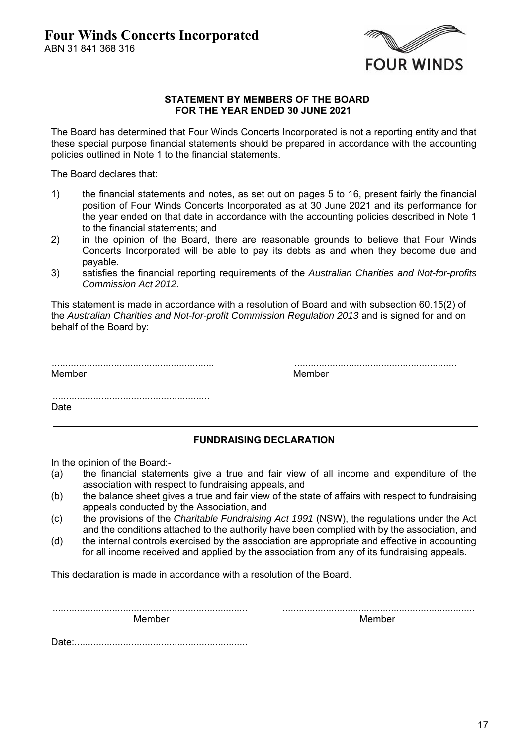

#### **STATEMENT BY MEMBERS OF THE BOARD FOR THE YEAR ENDED 30 JUNE 2021**

The Board has determined that Four Winds Concerts Incorporated is not a reporting entity and that these special purpose financial statements should be prepared in accordance with the accounting policies outlined in Note 1 to the financial statements.

The Board declares that:

- 1) the financial statements and notes, as set out on pages 5 to 16, present fairly the financial position of Four Winds Concerts Incorporated as at 30 June 2021 and its performance for the year ended on that date in accordance with the accounting policies described in Note 1 to the financial statements; and
- 2) in the opinion of the Board, there are reasonable grounds to believe that Four Winds Concerts Incorporated will be able to pay its debts as and when they become due and payable.
- 3) satisfies the financial reporting requirements of the *Australian Charities and Not-for-profits Commission Act 2012*.

This statement is made in accordance with a resolution of Board and with subsection 60.15(2) of the *Australian Charities and Not-for-profit Commission Regulation 2013* and is signed for and on behalf of the Board by:

| Member |  |  |
|--------|--|--|

 ............................................................ ............................................................ Member

..........................................................

Date

# **FUNDRAISING DECLARATION**

In the opinion of the Board:-

- (a) the financial statements give a true and fair view of all income and expenditure of the association with respect to fundraising appeals, and
- (b) the balance sheet gives a true and fair view of the state of affairs with respect to fundraising appeals conducted by the Association, and
- (c) the provisions of the *Charitable Fundraising Act 1991* (NSW), the regulations under the Act and the conditions attached to the authority have been complied with by the association, and
- (d) the internal controls exercised by the association are appropriate and effective in accounting for all income received and applied by the association from any of its fundraising appeals.

This declaration is made in accordance with a resolution of the Board.

........................................................................ ....................................................................... Member Member

Date:................................................................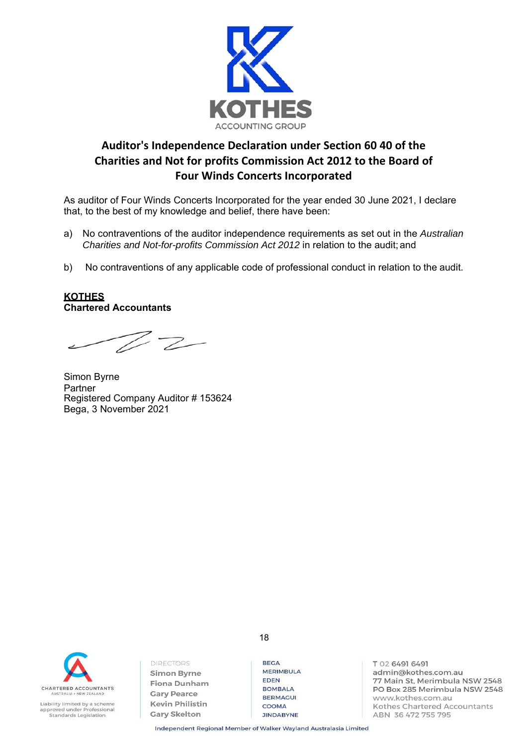

# **Auditor's Independence Declaration under Section 60 40 of the Charities and Not for profits Commission Act 2012 to the Board of Four Winds Concerts Incorporated**

As auditor of Four Winds Concerts Incorporated for the year ended 30 June 2021, I declare that, to the best of my knowledge and belief, there have been:

- a) No contraventions of the auditor independence requirements as set out in the *Australian Charities and Not-for-profits Commission Act 2012* in relation to the audit; and
- b) No contraventions of any applicable code of professional conduct in relation to the audit.

### **KOTHES Chartered Accountants**

 $Z \rightarrow$ 

Simon Byrne Partner Registered Company Auditor # 153624 Bega, 3 November 2021



Liability limited by a scheme approved under Professional<br>Standards Legislation **DIRECTORS Simon Byrne** Fiona Dunham **Gary Pearce Kevin Philistin Gary Skelton** 

**REGA MERIMBULA FDFN BOMBALA BERMAGUI** COOMA **JINDABYNE** 

T 02 6491 6491 admin@kothes.com.au 77 Main St, Merimbula NSW 2548 PO Box 285 Merimbula NSW 2548 www.kothes.com.au Kothes Chartered Accountants ABN 36 472 755 795

Independent Regional Member of Walker Wayland Australasia Limited

18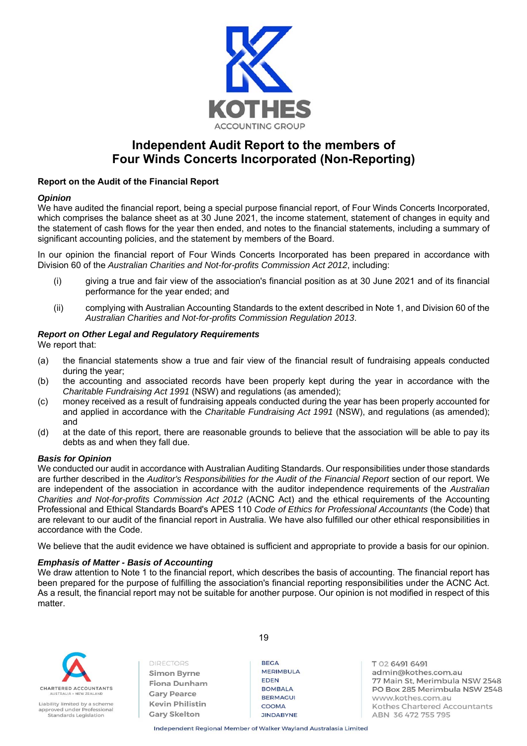

# **Independent Audit Report to the members of Four Winds Concerts Incorporated (Non-Reporting)**

#### **Report on the Audit of the Financial Report**

#### *Opinion*

We have audited the financial report, being a special purpose financial report, of Four Winds Concerts Incorporated, which comprises the balance sheet as at 30 June 2021, the income statement, statement of changes in equity and the statement of cash flows for the year then ended, and notes to the financial statements, including a summary of significant accounting policies, and the statement by members of the Board.

In our opinion the financial report of Four Winds Concerts Incorporated has been prepared in accordance with Division 60 of the *Australian Charities and Not-for-profits Commission Act 2012*, including:

- (i) giving a true and fair view of the association's financial position as at 30 June 2021 and of its financial performance for the year ended; and
- (ii) complying with Australian Accounting Standards to the extent described in Note 1, and Division 60 of the *Australian Charities and Not-for-profits Commission Regulation 2013*.

#### *Report on Other Legal and Regulatory Requirements*

We report that:

- (a) the financial statements show a true and fair view of the financial result of fundraising appeals conducted during the year;
- (b) the accounting and associated records have been properly kept during the year in accordance with the *Charitable Fundraising Act 1991* (NSW) and regulations (as amended);
- (c) money received as a result of fundraising appeals conducted during the year has been properly accounted for and applied in accordance with the *Charitable Fundraising Act 1991* (NSW), and regulations (as amended); and
- (d) at the date of this report, there are reasonable grounds to believe that the association will be able to pay its debts as and when they fall due.

#### *Basis for Opinion*

We conducted our audit in accordance with Australian Auditing Standards. Our responsibilities under those standards are further described in the *Auditor's Responsibilities for the Audit of the Financial Report* section of our report. We are independent of the association in accordance with the auditor independence requirements of the *Australian Charities and Not-for-profits Commission Act 2012* (ACNC Act) and the ethical requirements of the Accounting Professional and Ethical Standards Board's APES 110 *Code of Ethics for Professional Accountants* (the Code) that are relevant to our audit of the financial report in Australia. We have also fulfilled our other ethical responsibilities in accordance with the Code.

We believe that the audit evidence we have obtained is sufficient and appropriate to provide a basis for our opinion.

#### *Emphasis of Matter - Basis of Accounting*

We draw attention to Note 1 to the financial report, which describes the basis of accounting. The financial report has been prepared for the purpose of fulfilling the association's financial reporting responsibilities under the ACNC Act. As a result, the financial report may not be suitable for another purpose. Our opinion is not modified in respect of this matter.

19



Liability limited by a scheme approved under Professional Standards Legislation

**DIRECTORS Simon Byrne Fiona Dunham Gary Pearce Kevin Philistin Gary Skelton** 

**REGA MERIMBULA FDFN BOMBALA BERMAGUI** COOMA **JINDABYNE** 

T 02 6491 6491 admin@kothes.com.au 77 Main St, Merimbula NSW 2548 PO Box 285 Merimbula NSW 2548 www.kothes.com.au Kothes Chartered Accountants ABN 36 472 755 795